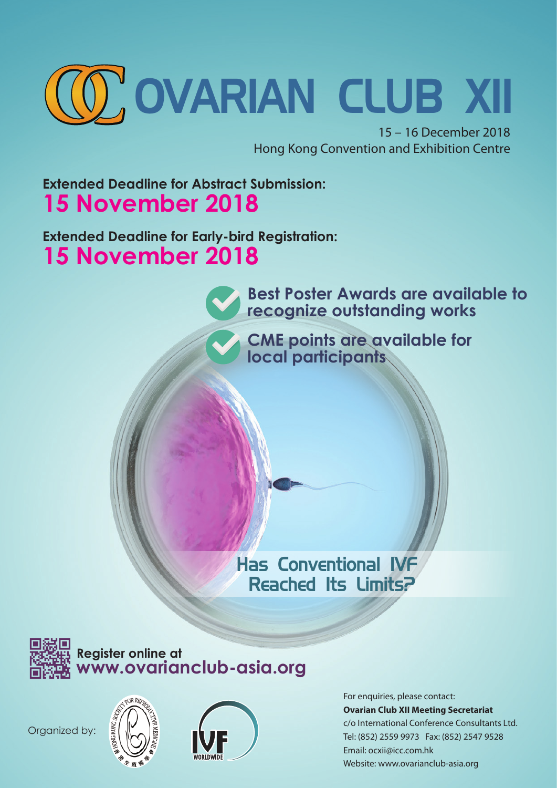

15 – 16 December 2018 Hong Kong Convention and Exhibition Centre

# **Extended Deadline for Abstract Submission: 15 November 2018**

**Extended Deadline for Early-bird Registration: 15 November 2018**

> **Best Poster Awards are available to recognize outstanding works**

**CME points are available for local participants**

# **Has Conventional IVF Reached Its Limits?**



**Register online at www.ovarianclub-asia.org**







For enquiries, please contact: **Ovarian Club XII Meeting Secretariat** c/o International Conference Consultants Ltd. Tel: (852) 2559 9973 Fax: (852) 2547 9528 Email: ocxii@icc.com.hk Website: www.ovarianclub-asia.org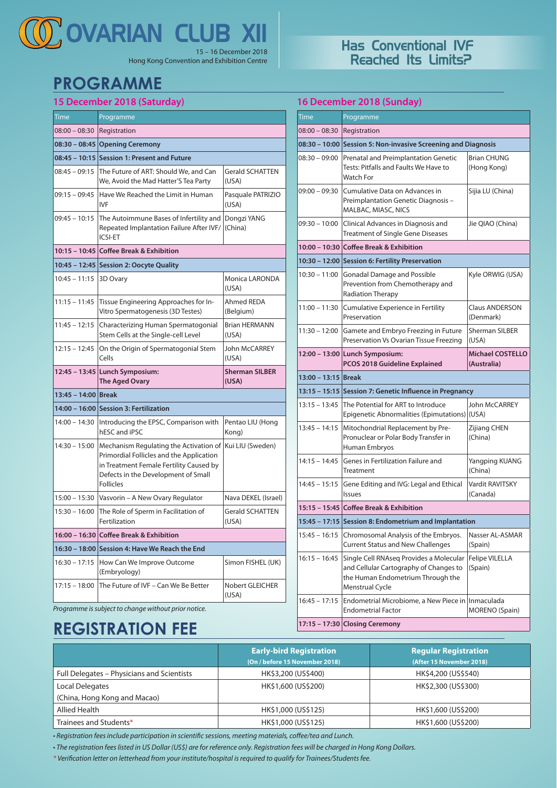# 15 – 16 December 2018 **OVARIAN CLUB XII**

Hong Kong Convention and Exhibition Centre

# **PROGRAMME**

### **15 December 2018 (Saturday)**

| Registration<br>08:30 - 08:45 Opening Ceremony<br>08:45 – 10:15 Session 1: Present and Future<br>The Future of ART: Should We, and Can                                                                                       |                                 |
|------------------------------------------------------------------------------------------------------------------------------------------------------------------------------------------------------------------------------|---------------------------------|
|                                                                                                                                                                                                                              |                                 |
|                                                                                                                                                                                                                              |                                 |
|                                                                                                                                                                                                                              |                                 |
| We, Avoid the Mad Hatter'S Tea Party                                                                                                                                                                                         | <b>Gerald SCHATTEN</b><br>(USA) |
| Have We Reached the Limit in Human<br><b>IVF</b>                                                                                                                                                                             | Pasquale PATRIZIO<br>(USA)      |
| The Autoimmune Bases of Infertility and Dongzi YANG<br>Repeated Implantation Failure After IVF/<br><b>ICSI-ET</b>                                                                                                            | (China)                         |
| 10:15 – 10:45 Coffee Break & Exhibition                                                                                                                                                                                      |                                 |
| 10:45 - 12:45 Session 2: Oocyte Quality                                                                                                                                                                                      |                                 |
| Monica LARONDA<br>3D Ovary<br>(USA)                                                                                                                                                                                          |                                 |
| Tissue Engineering Approaches for In-<br>Vitro Spermatogenesis (3D Testes)                                                                                                                                                   | Ahmed REDA<br>(Belgium)         |
| Characterizing Human Spermatogonial<br>Stem Cells at the Single-cell Level                                                                                                                                                   | <b>Brian HERMANN</b><br>(USA)   |
| John McCARREY<br>On the Origin of Spermatogonial Stem<br>Cells<br>(USA)                                                                                                                                                      |                                 |
| 12:45 - 13:45 Lunch Symposium:<br>The Aged Ovary                                                                                                                                                                             | <b>Sherman SILBER</b><br>(USA)  |
| 13:45 - 14:00 Break                                                                                                                                                                                                          |                                 |
| 14:00 - 16:00 Session 3: Fertilization                                                                                                                                                                                       |                                 |
| Introducing the EPSC, Comparison with<br>hESC and iPSC                                                                                                                                                                       | Pentao LIU (Hong<br>Kong)       |
| $14:30 - 15:00$<br>Mechanism Regulating the Activation of Kui LIU (Sweden)<br>Primordial Follicles and the Application<br>in Treatment Female Fertility Caused by<br>Defects in the Development of Small<br><b>Follicles</b> |                                 |
| Vasvorin - A New Ovary Regulator                                                                                                                                                                                             | Nava DEKEL (Israel)             |
| <b>Gerald SCHATTEN</b><br>The Role of Sperm in Facilitation of<br>Fertilization<br>(USA)                                                                                                                                     |                                 |
| 16:00 – 16:30 Coffee Break & Exhibition                                                                                                                                                                                      |                                 |
| Session 4: Have We Reach the End                                                                                                                                                                                             |                                 |
| How Can We Improve Outcome<br>(Embryology)                                                                                                                                                                                   | Simon FISHEL (UK)               |
| The Future of IVF - Can We Be Better                                                                                                                                                                                         | Nobert GLEICHER<br>(USA)        |
|                                                                                                                                                                                                                              |                                 |

### **Has Conventional IVF Reached Its Limits?**

**16 December 2018 (Sunday)**

| Time                | Programme                                                                                                                                                                     |                                        |  |
|---------------------|-------------------------------------------------------------------------------------------------------------------------------------------------------------------------------|----------------------------------------|--|
| $08:00 - 08:30$     | Registration                                                                                                                                                                  |                                        |  |
|                     | 08:30 – 10:00 Session 5: Non-invasive Screening and Diagnosis                                                                                                                 |                                        |  |
| $08:30 - 09:00$     | Prenatal and Preimplantation Genetic<br>Tests: Pitfalls and Faults We Have to<br><b>Watch For</b>                                                                             | <b>Brian CHUNG</b><br>(Hong Kong)      |  |
| $09:00 - 09:30$     | Cumulative Data on Advances in<br>Preimplantation Genetic Diagnosis -<br>MALBAC, MIASC, NICS                                                                                  | Sijia LU (China)                       |  |
|                     | 09:30 - 10:00 Clinical Advances in Diagnosis and<br><b>Treatment of Single Gene Diseases</b>                                                                                  |                                        |  |
|                     | 10:00 - 10:30 Coffee Break & Exhibition                                                                                                                                       |                                        |  |
|                     | 10:30 - 12:00 Session 6: Fertility Preservation                                                                                                                               |                                        |  |
| $10:30 - 11:00$     | Gonadal Damage and Possible<br>Prevention from Chemotherapy and<br>Radiation Therapy                                                                                          | Kyle ORWIG (USA)                       |  |
| $11:00 - 11:30$     | Cumulative Experience in Fertility<br>Preservation                                                                                                                            | <b>Claus ANDERSON</b><br>(Denmark)     |  |
| $11:30 - 12:00$     | Gamete and Embryo Freezing in Future<br>Preservation Vs Ovarian Tissue Freezing                                                                                               | <b>Sherman SILBER</b><br>(USA)         |  |
|                     | 12:00 - 13:00 Lunch Symposium:<br>PCOS 2018 Guideline Explained                                                                                                               | <b>Michael COSTELLO</b><br>(Australia) |  |
| 13:00 - 13:15 Break |                                                                                                                                                                               |                                        |  |
|                     | 13:15 - 15:15 Session 7: Genetic Influence in Pregnancy                                                                                                                       |                                        |  |
| $13:15 - 13:45$     | The Potential for ART to Introduce<br>Epigenetic Abnormalities (Epimutations) (USA)                                                                                           | John McCARREY                          |  |
| $13:45 - 14:15$     | Mitochondrial Replacement by Pre-<br>Pronuclear or Polar Body Transfer in<br>Human Embryos                                                                                    | Zijiang CHEN<br>(China)                |  |
| $14:15 - 14:45$     | Genes in Fertilization Failure and<br>Treatment                                                                                                                               | Yangping KUANG<br>(China)              |  |
| $14:45 - 15:15$     | Gene Editing and IVG: Legal and Ethical<br><b>Issues</b>                                                                                                                      | Vardit RAVITSKY<br>(Canada)            |  |
|                     | 15:15 - 15:45 Coffee Break & Exhibition                                                                                                                                       |                                        |  |
|                     | 15:45 - 17:15 Session 8: Endometrium and Implantation                                                                                                                         |                                        |  |
| $15:45 - 16:15$     | Chromosomal Analysis of the Embryos.<br><b>Current Status and New Challenges</b>                                                                                              | Nasser AL-ASMAR<br>(Spain)             |  |
| $16:15 - 16:45$     | Single Cell RNAseg Provides a Molecular<br><b>Felipe VILELLA</b><br>and Cellular Cartography of Changes to<br>(Spain)<br>the Human Endometrium Through the<br>Menstrual Cycle |                                        |  |
| $16:45 - 17:15$     | Endometrial Microbiome, a New Piece in   Inmaculada<br><b>Endometrial Factor</b>                                                                                              | <b>MORENO</b> (Spain)                  |  |
|                     |                                                                                                                                                                               |                                        |  |

*Programme is subject to change without prior notice.* 

# **REGISTRATION FEE**

|                                            | <b>Early-bird Registration</b> | <b>Regular Registration</b> |
|--------------------------------------------|--------------------------------|-----------------------------|
|                                            | (On / before 15 November 2018) | (After 15 November 2018)    |
| Full Delegates – Physicians and Scientists | HK\$3,200 (US\$400)            | HK\$4,200 (US\$540)         |
| Local Delegates                            | HK\$1,600 (US\$200)            | HK\$2,300 (US\$300)         |
| (China, Hong Kong and Macao)               |                                |                             |
| Allied Health                              | HK\$1,000 (US\$125)            | HK\$1,600 (US\$200)         |
| Trainees and Students*                     | HK\$1,000 (US\$125)            | HK\$1,600 (US\$200)         |

*• Registration fees include participation in scientific sessions, meeting materials, coffee/tea and Lunch.*

*• The registration fees listed in US Dollar (US\$) are for reference only. Registration fees will be charged in Hong Kong Dollars.*

*\* Verification letter on letterhead from your institute/hospital is required to qualify for Trainees/Students fee.*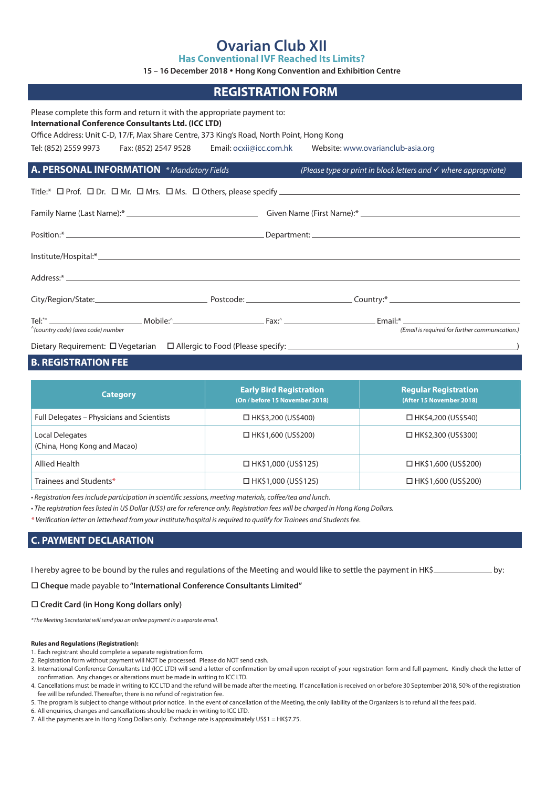### **Ovarian Club XII**

**Has Conventional IVF Reached Its Limits?**

**15 – 16 December 2018 Hong Kong Convention and Exhibition Centre**

## **REGISTRATION FORM** Please complete this form and return it with the appropriate payment to: **International Conference Consultants Ltd. (ICC LTD)** Office Address: Unit C-D, 17/F, Max Share Centre, 373 King's Road, North Point, Hong Kong Tel: (852) 2559 9973 Fax: (852) 2547 9528 Email: ocxii@icc.com.hk Website: www.ovarianclub-asia.org **A. PERSONAL INFORMATION** *\* Mandatory Fields (Please type or print in block letters and where appropriate)* Title:\*  $\Box$  Prof.  $\Box$  Dr.  $\Box$  Mr.  $\Box$  Mrs.  $\Box$  Ms.  $\Box$  Others, please specify  $\Box$ Family Name (Last Name):\* Given Name (First Name):\* Given Name (First Name):\* Given Name (First Name):\* Given Name (First Name): \* Given Name (First Name): \* Given Name (First Name): \* Given Name (First Name): \* Given Name Position:\* Department: Institute/Hospital:\* Address:\* City/Region/State: Postcode: Postcode: City/Region/State: Country: \* Country: \* Country: \* Country: \* Country: \* Country: \* Country: \* Country: \* Country: \* Country: \* Country: \* Country: \* Country: \* Country: \* Country: \* Tel:\*^ Mobile:^ Fax:^ Email:\* ^*(country code) (area code) number (Email is required for further communication.)*

Dietary Requirement:  $\Box$  Vegetarian  $\Box$  Allergic to Food (Please specify:  $\Box$ 

### **B. REGISTRATION FEE**

| <b>Category</b>                                 | <b>Early Bird Registration</b><br>(On / before 15 November 2018) | <b>Regular Registration</b><br>(After 15 November 2018) |
|-------------------------------------------------|------------------------------------------------------------------|---------------------------------------------------------|
| Full Delegates - Physicians and Scientists      | $\Box$ HK\$3,200 (US\$400)                                       | $\Box$ HK\$4,200 (US\$540)                              |
| Local Delegates<br>(China, Hong Kong and Macao) | $\Box$ HK\$1,600 (US\$200)                                       | $\Box$ HK\$2,300 (US\$300)                              |
| Allied Health                                   | $\Box$ HK\$1,000 (US\$125)                                       | $\Box$ HK\$1,600 (US\$200)                              |
| Trainees and Students*                          | $\Box$ HK\$1,000 (US\$125)                                       | $\Box$ HK\$1,600 (US\$200)                              |

*• Registration fees include participation in scientific sessions, meeting materials, coffee/tea and lunch.*

*• The registration fees listed in US Dollar (US\$) are for reference only. Registration fees will be charged in Hong Kong Dollars.*

*\* Verification letter on letterhead from your institute/hospital is required to qualify for Trainees and Students fee.*

#### **C. PAYMENT DECLARATION**

| I hereby agree to be bound by the rules and regulations of the Meeting and would like to settle the payment in HK\$ |     |
|---------------------------------------------------------------------------------------------------------------------|-----|
|                                                                                                                     | by: |
|                                                                                                                     |     |

**Cheque** made payable to **"International Conference Consultants Limited"**

#### **Credit Card (in Hong Kong dollars only)**

*\*The Meeting Secretariat will send you an online payment in a separate email.*

#### **Rules and Regulations (Registration):**

- 1. Each registrant should complete a separate registration form.
- 2. Registration form without payment will NOT be processed. Please do NOT send cash.
- 3. International Conference Consultants Ltd (ICC LTD) will send a letter of confirmation by email upon receipt of your registration form and full payment. Kindly check the letter of confirmation. Any changes or alterations must be made in writing to ICC LTD.
- 4. Cancellations must be made in writing to ICC LTD and the refund will be made after the meeting. If cancellation is received on or before 30 September 2018, 50% of the registration fee will be refunded. Thereafter, there is no refund of registration fee.
- 5. The program is subject to change without prior notice. In the event of cancellation of the Meeting, the only liability of the Organizers is to refund all the fees paid.
- 6. All enquiries, changes and cancellations should be made in writing to ICC LTD.
- 7. All the payments are in Hong Kong Dollars only. Exchange rate is approximately US\$1 = HK\$7.75.